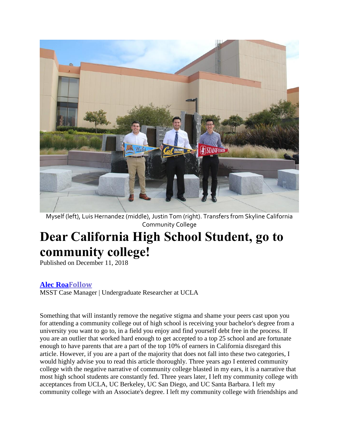

Myself (left), Luis Hernandez (middle), Justin Tom (right). Transfers from Skyline California Community College

# **Dear California High School Student, go to community college!**

Published on December 11, 2018

# **[Alec](https://www.linkedin.com/in/alec-roa-3a9546a8?trk=author_mini-profile_title) Roa[Follow](https://www.linkedin.com/in/alec-roa-3a9546a8?trk=author_mini-profile_title)**

MSST Case Manager | Undergraduate Researcher at UCLA

Something that will instantly remove the negative stigma and shame your peers cast upon you for attending a community college out of high school is receiving your bachelor's degree from a university you want to go to, in a field you enjoy and find yourself debt free in the process. If you are an outlier that worked hard enough to get accepted to a top 25 school and are fortunate enough to have parents that are a part of the top 10% of earners in California disregard this article. However, if you are a part of the majority that does not fall into these two categories, I would highly advise you to read this article thoroughly. Three years ago I entered community college with the negative narrative of community college blasted in my ears, it is a narrative that most high school students are constantly fed. Three years later, I left my community college with acceptances from UCLA, UC Berkeley, UC San Diego, and UC Santa Barbara. I left my community college with an Associate's degree. I left my community college with friendships and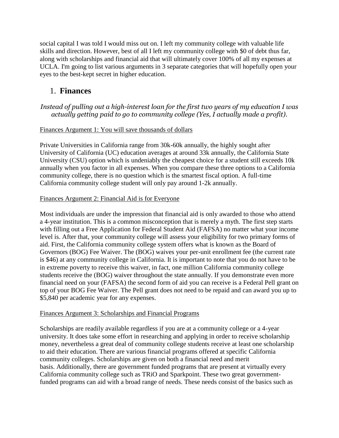social capital I was told I would miss out on. I left my community college with valuable life skills and direction. However, best of all I left my community college with \$0 of debt thus far, along with scholarships and financial aid that will ultimately cover 100% of all my expenses at UCLA. I'm going to list various arguments in 3 separate categories that will hopefully open your eyes to the best-kept secret in higher education.

# 1. **Finances**

## *Instead of pulling out a high-interest loan for the first two years of my education I was actually getting paid to go to community college (Yes, I actually made a profit).*

### Finances Argument 1: You will save thousands of dollars

Private Universities in California range from 30k-60k annually, the highly sought after University of California (UC) education averages at around 33k annually, the California State University (CSU) option which is undeniably the cheapest choice for a student still exceeds 10k annually when you factor in all expenses. When you compare these three options to a California community college, there is no question which is the smartest fiscal option. A full-time California community college student will only pay around 1-2k annually.

#### Finances Argument 2: Financial Aid is for Everyone

Most individuals are under the impression that financial aid is only awarded to those who attend a 4-year institution. This is a common misconception that is merely a myth. The first step starts with filling out a Free Application for Federal Student Aid (FAFSA) no matter what your income level is. After that, your community college will assess your eligibility for two primary forms of aid. First, the California community college system offers what is known as the Board of Governors (BOG) Fee Waiver. The (BOG) waives your per-unit enrollment fee (the current rate is \$46) at any community college in California. It is important to note that you do not have to be in extreme poverty to receive this waiver, in fact, one million California community college students receive the (BOG) waiver throughout the state annually. If you demonstrate even more financial need on your (FAFSA) the second form of aid you can receive is a Federal Pell grant on top of your BOG Fee Waiver. The Pell grant does not need to be repaid and can award you up to \$5,840 per academic year for any expenses.

#### Finances Argument 3: Scholarships and Financial Programs

Scholarships are readily available regardless if you are at a community college or a 4-year university. It does take some effort in researching and applying in order to receive scholarship money, nevertheless a great deal of community college students receive at least one scholarship to aid their education. There are various financial programs offered at specific California community colleges. Scholarships are given on both a financial need and merit basis. Additionally, there are government funded programs that are present at virtually every California community college such as TRiO and Sparkpoint. These two great governmentfunded programs can aid with a broad range of needs. These needs consist of the basics such as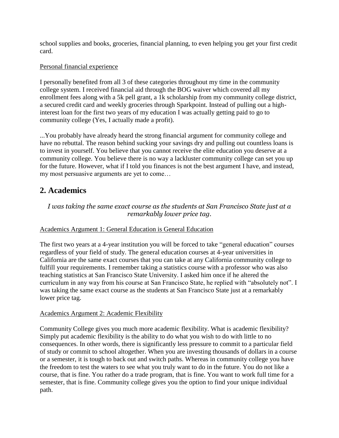school supplies and books, groceries, financial planning, to even helping you get your first credit card.

#### Personal financial experience

I personally benefited from all 3 of these categories throughout my time in the community college system. I received financial aid through the BOG waiver which covered all my enrollment fees along with a 5k pell grant, a 1k scholarship from my community college district, a secured credit card and weekly groceries through Sparkpoint. Instead of pulling out a highinterest loan for the first two years of my education I was actually getting paid to go to community college (Yes, I actually made a profit).

...You probably have already heard the strong financial argument for community college and have no rebuttal. The reason behind sucking your savings dry and pulling out countless loans is to invest in yourself. You believe that you cannot receive the elite education you deserve at a community college. You believe there is no way a lackluster community college can set you up for the future. However, what if I told you finances is not the best argument I have, and instead, my most persuasive arguments are yet to come…

# **2. Academics**

## *I was taking the same exact course as the students at San Francisco State just at a remarkably lower price tag.*

#### Academics Argument 1: General Education is General Education

The first two years at a 4-year institution you will be forced to take "general education" courses regardless of your field of study. The general education courses at 4-year universities in California are the same exact courses that you can take at any California community college to fulfill your requirements. I remember taking a statistics course with a professor who was also teaching statistics at San Francisco State University. I asked him once if he altered the curriculum in any way from his course at San Francisco State, he replied with "absolutely not". I was taking the same exact course as the students at San Francisco State just at a remarkably lower price tag.

#### Academics Argument 2: Academic Flexibility

Community College gives you much more academic flexibility. What is academic flexibility? Simply put academic flexibility is the ability to do what you wish to do with little to no consequences. In other words, there is significantly less pressure to commit to a particular field of study or commit to school altogether. When you are investing thousands of dollars in a course or a semester, it is tough to back out and switch paths. Whereas in community college you have the freedom to test the waters to see what you truly want to do in the future. You do not like a course, that is fine. You rather do a trade program, that is fine. You want to work full time for a semester, that is fine. Community college gives you the option to find your unique individual path.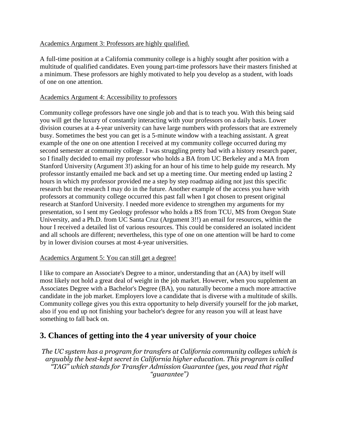#### Academics Argument 3: Professors are highly qualified.

A full-time position at a California community college is a highly sought after position with a multitude of qualified candidates. Even young part-time professors have their masters finished at a minimum. These professors are highly motivated to help you develop as a student, with loads of one on one attention.

#### Academics Argument 4: Accessibility to professors

Community college professors have one single job and that is to teach you. With this being said you will get the luxury of constantly interacting with your professors on a daily basis. Lower division courses at a 4-year university can have large numbers with professors that are extremely busy. Sometimes the best you can get is a 5-minute window with a teaching assistant. A great example of the one on one attention I received at my community college occurred during my second semester at community college. I was struggling pretty bad with a history research paper, so I finally decided to email my professor who holds a BA from UC Berkeley and a MA from Stanford University (Argument 3!) asking for an hour of his time to help guide my research. My professor instantly emailed me back and set up a meeting time. Our meeting ended up lasting 2 hours in which my professor provided me a step by step roadmap aiding not just this specific research but the research I may do in the future. Another example of the access you have with professors at community college occurred this past fall when I got chosen to present original research at Stanford University. I needed more evidence to strengthen my arguments for my presentation, so I sent my Geology professor who holds a BS from TCU, MS from Oregon State University, and a Ph.D. from UC Santa Cruz (Argument 3!!) an email for resources, within the hour I received a detailed list of various resources. This could be considered an isolated incident and all schools are different; nevertheless, this type of one on one attention will be hard to come by in lower division courses at most 4-year universities.

#### Academics Argument 5: You can still get a degree!

I like to compare an Associate's Degree to a minor, understanding that an (AA) by itself will most likely not hold a great deal of weight in the job market. However, when you supplement an Associates Degree with a Bachelor's Degree (BA), you naturally become a much more attractive candidate in the job market. Employers love a candidate that is diverse with a multitude of skills. Community college gives you this extra opportunity to help diversify yourself for the job market, also if you end up not finishing your bachelor's degree for any reason you will at least have something to fall back on.

# **3. Chances of getting into the 4 year university of your choice**

*The UC system has a program for transfers at California community colleges which is arguably the best-kept secret in California higher education. This program is called "TAG" which stands for Transfer Admission Guarantee (yes, you read that right "guarantee")*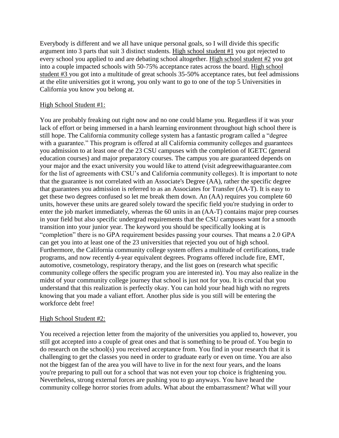Everybody is different and we all have unique personal goals, so I will divide this specific argument into 3 parts that suit 3 distinct students. High school student #1 you got rejected to every school you applied to and are debating school altogether. High school student #2 you got into a couple impacted schools with 50-75% acceptance rates across the board. High school student #3 you got into a multitude of great schools 35-50% acceptance rates, but feel admissions at the elite universities got it wrong, you only want to go to one of the top 5 Universities in California you know you belong at.

#### High School Student #1:

You are probably freaking out right now and no one could blame you. Regardless if it was your lack of effort or being immersed in a harsh learning environment throughout high school there is still hope. The California community college system has a fantastic program called a "degree with a guarantee." This program is offered at all California community colleges and guarantees you admission to at least one of the 23 CSU campuses with the completion of IGETC (general education courses) and major preparatory courses. The campus you are guaranteed depends on your major and the exact university you would like to attend (visit adegreewithaguarantee.com for the list of agreements with CSU's and California community colleges). It is important to note that the guarantee is not correlated with an Associate's Degree (AA), rather the specific degree that guarantees you admission is referred to as an Associates for Transfer (AA-T). It is easy to get these two degrees confused so let me break them down. An (AA) requires you complete 60 units, however these units are geared solely toward the specific field you're studying in order to enter the job market immediately, whereas the 60 units in an (AA-T) contains major prep courses in your field but also specific undergrad requirements that the CSU campuses want for a smooth transition into your junior year. The keyword you should be specifically looking at is "completion" there is no GPA requirement besides passing your courses. That means a 2.0 GPA can get you into at least one of the 23 universities that rejected you out of high school. Furthermore, the California community college system offers a multitude of certifications, trade programs, and now recently 4-year equivalent degrees. Programs offered include fire, EMT, automotive, cosmetology, respiratory therapy, and the list goes on (research what specific community college offers the specific program you are interested in). You may also realize in the midst of your community college journey that school is just not for you. It is crucial that you understand that this realization is perfectly okay. You can hold your head high with no regrets knowing that you made a valiant effort. Another plus side is you still will be entering the workforce debt free!

#### High School Student #2:

You received a rejection letter from the majority of the universities you applied to, however, you still got accepted into a couple of great ones and that is something to be proud of. You begin to do research on the school(s) you received acceptance from. You find in your research that it is challenging to get the classes you need in order to graduate early or even on time. You are also not the biggest fan of the area you will have to live in for the next four years, and the loans you're preparing to pull out for a school that was not even your top choice is frightening you. Nevertheless, strong external forces are pushing you to go anyways. You have heard the community college horror stories from adults. What about the embarrassment? What will your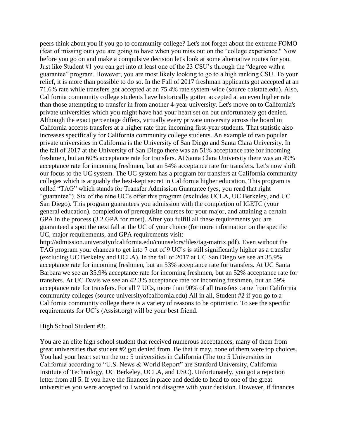peers think about you if you go to community college? Let's not forget about the extreme FOMO (fear of missing out) you are going to have when you miss out on the "college experience." Now before you go on and make a compulsive decision let's look at some alternative routes for you. Just like Student #1 you can get into at least one of the 23 CSU's through the "degree with a guarantee" program. However, you are most likely looking to go to a high ranking CSU. To your relief, it is more than possible to do so. In the Fall of 2017 freshman applicants got accepted at an 71.6% rate while transfers got accepted at an 75.4% rate system-wide (source calstate.edu). Also, California community college students have historically gotten accepted at an even higher rate than those attempting to transfer in from another 4-year university. Let's move on to California's private universities which you might have had your heart set on but unfortunately got denied. Although the exact percentage differs, virtually every private university across the board in California accepts transfers at a higher rate than incoming first-year students. That statistic also increases specifically for California community college students. An example of two popular private universities in California is the University of San Diego and Santa Clara University. In the fall of 2017 at the University of San Diego there was an 51% acceptance rate for incoming freshmen, but an 60% acceptance rate for transfers. At Santa Clara University there was an 49% acceptance rate for incoming freshmen, but an 54% acceptance rate for transfers. Let's now shift our focus to the UC system. The UC system has a program for transfers at California community colleges which is arguably the best-kept secret in California higher education. This program is called "TAG" which stands for Transfer Admission Guarantee (yes, you read that right "guarantee"). Six of the nine UC's offer this program (excludes UCLA, UC Berkeley, and UC San Diego). This program guarantees you admission with the completion of IGETC (your general education), completion of prerequisite courses for your major, and attaining a certain GPA in the process (3.2 GPA for most). After you fulfill all these requirements you are guaranteed a spot the next fall at the UC of your choice (for more information on the specific UC, major requirements, and GPA requirements visit:

http://admission.universityofcalifornia.edu/counselors/files/tag-matrix.pdf). Even without the TAG program your chances to get into 7 out of 9 UC's is still significantly higher as a transfer (excluding UC Berkeley and UCLA). In the fall of 2017 at UC San Diego we see an 35.9% acceptance rate for incoming freshmen, but an 53% acceptance rate for transfers. At UC Santa Barbara we see an 35.9% acceptance rate for incoming freshmen, but an 52% acceptance rate for transfers. At UC Davis we see an 42.3% acceptance rate for incoming freshmen, but an 59% acceptance rate for transfers. For all 7 UCs, more than 90% of all transfers came from California community colleges (source universityofcalifornia.edu) All in all, Student #2 if you go to a California community college there is a variety of reasons to be optimistic. To see the specific requirements for UC's (Assist.org) will be your best friend.

#### High School Student #3:

You are an elite high school student that received numerous acceptances, many of them from great universities that student #2 got denied from. Be that it may, none of them were top choices. You had your heart set on the top 5 universities in California (The top 5 Universities in California according to "U.S. News & World Report" are Stanford University, California Institute of Technology, UC Berkeley, UCLA, and USC). Unfortunately, you got a rejection letter from all 5. If you have the finances in place and decide to head to one of the great universities you were accepted to I would not disagree with your decision. However, if finances